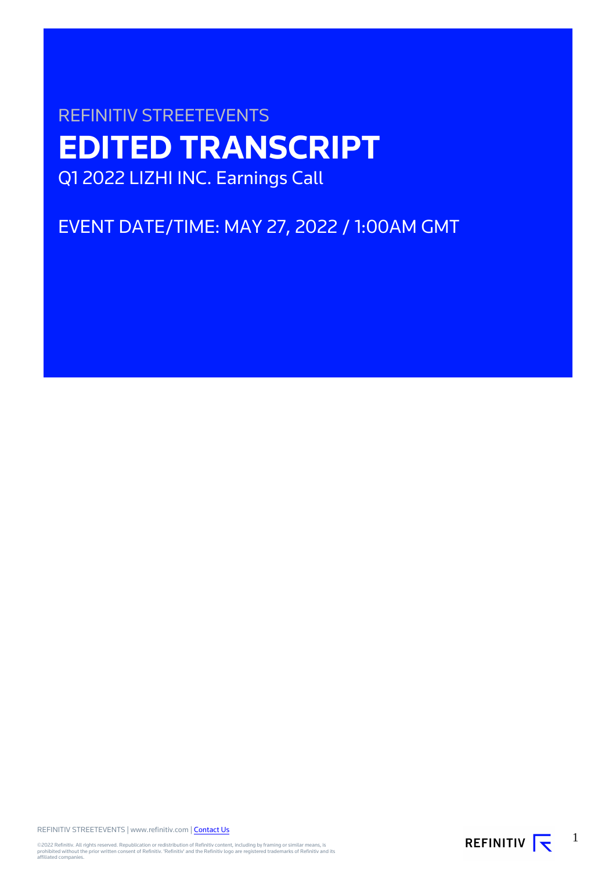# REFINITIV STREETEVENTS **EDITED TRANSCRIPT** Q1 2022 LIZHI INC. Earnings Call

EVENT DATE/TIME: MAY 27, 2022 / 1:00AM GMT

REFINITIV STREETEVENTS | www.refinitiv.com | [Contact Us](https://www.refinitiv.com/en/contact-us)

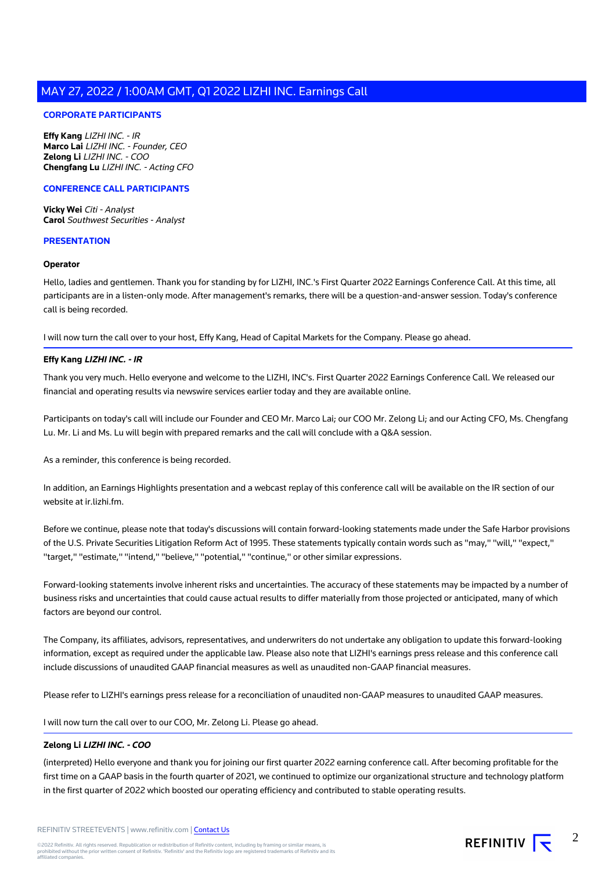### **CORPORATE PARTICIPANTS**

**Effy Kang** LIZHI INC. - IR **Marco Lai** LIZHI INC. - Founder, CEO **Zelong Li** LIZHI INC. - COO **Chengfang Lu** LIZHI INC. - Acting CFO

### **CONFERENCE CALL PARTICIPANTS**

**Vicky Wei** Citi - Analyst **Carol** Southwest Securities - Analyst

#### **PRESENTATION**

#### **Operator**

Hello, ladies and gentlemen. Thank you for standing by for LIZHI, INC.'s First Quarter 2022 Earnings Conference Call. At this time, all participants are in a listen-only mode. After management's remarks, there will be a question-and-answer session. Today's conference call is being recorded.

I will now turn the call over to your host, Effy Kang, Head of Capital Markets for the Company. Please go ahead.

### **Effy Kang LIZHI INC. - IR**

Thank you very much. Hello everyone and welcome to the LIZHI, INC's. First Quarter 2022 Earnings Conference Call. We released our financial and operating results via newswire services earlier today and they are available online.

Participants on today's call will include our Founder and CEO Mr. Marco Lai; our COO Mr. Zelong Li; and our Acting CFO, Ms. Chengfang Lu. Mr. Li and Ms. Lu will begin with prepared remarks and the call will conclude with a Q&A session.

As a reminder, this conference is being recorded.

In addition, an Earnings Highlights presentation and a webcast replay of this conference call will be available on the IR section of our website at ir.lizhi.fm.

Before we continue, please note that today's discussions will contain forward-looking statements made under the Safe Harbor provisions of the U.S. Private Securities Litigation Reform Act of 1995. These statements typically contain words such as "may," "will," "expect," "target," "estimate," "intend," "believe," "potential," "continue," or other similar expressions.

Forward-looking statements involve inherent risks and uncertainties. The accuracy of these statements may be impacted by a number of business risks and uncertainties that could cause actual results to differ materially from those projected or anticipated, many of which factors are beyond our control.

The Company, its affiliates, advisors, representatives, and underwriters do not undertake any obligation to update this forward-looking information, except as required under the applicable law. Please also note that LIZHI's earnings press release and this conference call include discussions of unaudited GAAP financial measures as well as unaudited non-GAAP financial measures.

Please refer to LIZHI's earnings press release for a reconciliation of unaudited non-GAAP measures to unaudited GAAP measures.

I will now turn the call over to our COO, Mr. Zelong Li. Please go ahead.

### **Zelong Li LIZHI INC. - COO**

(interpreted) Hello everyone and thank you for joining our first quarter 2022 earning conference call. After becoming profitable for the first time on a GAAP basis in the fourth quarter of 2021, we continued to optimize our organizational structure and technology platform in the first quarter of 2022 which boosted our operating efficiency and contributed to stable operating results.

REFINITIV STREETEVENTS | www.refinitiv.com | [Contact Us](https://www.refinitiv.com/en/contact-us)

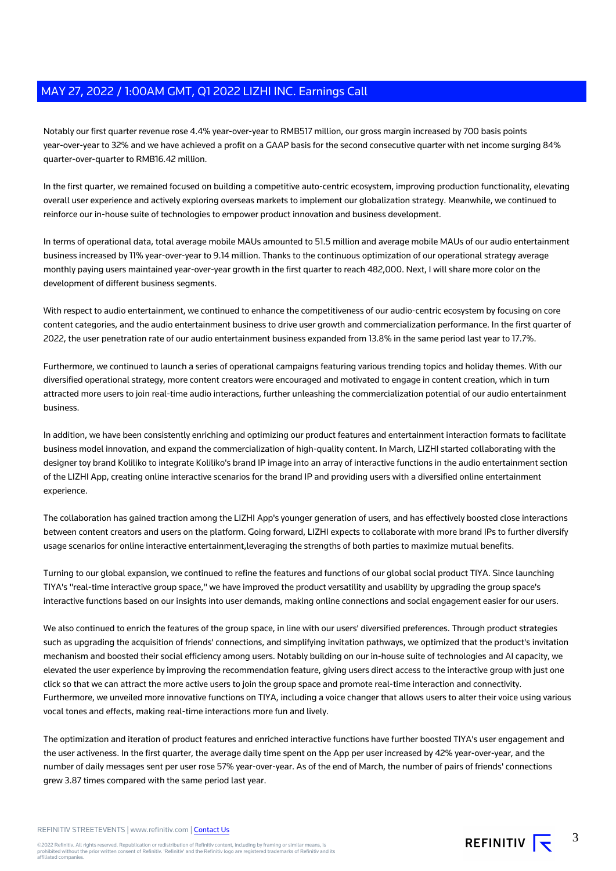Notably our first quarter revenue rose 4.4% year-over-year to RMB517 million, our gross margin increased by 700 basis points year-over-year to 32% and we have achieved a profit on a GAAP basis for the second consecutive quarter with net income surging 84% quarter-over-quarter to RMB16.42 million.

In the first quarter, we remained focused on building a competitive auto-centric ecosystem, improving production functionality, elevating overall user experience and actively exploring overseas markets to implement our globalization strategy. Meanwhile, we continued to reinforce our in-house suite of technologies to empower product innovation and business development.

In terms of operational data, total average mobile MAUs amounted to 51.5 million and average mobile MAUs of our audio entertainment business increased by 11% year-over-year to 9.14 million. Thanks to the continuous optimization of our operational strategy average monthly paying users maintained year-over-year growth in the first quarter to reach 482,000. Next, I will share more color on the development of different business segments.

With respect to audio entertainment, we continued to enhance the competitiveness of our audio-centric ecosystem by focusing on core content categories, and the audio entertainment business to drive user growth and commercialization performance. In the first quarter of 2022, the user penetration rate of our audio entertainment business expanded from 13.8% in the same period last year to 17.7%.

Furthermore, we continued to launch a series of operational campaigns featuring various trending topics and holiday themes. With our diversified operational strategy, more content creators were encouraged and motivated to engage in content creation, which in turn attracted more users to join real-time audio interactions, further unleashing the commercialization potential of our audio entertainment business.

In addition, we have been consistently enriching and optimizing our product features and entertainment interaction formats to facilitate business model innovation, and expand the commercialization of high-quality content. In March, LIZHI started collaborating with the designer toy brand Koliliko to integrate Koliliko's brand IP image into an array of interactive functions in the audio entertainment section of the LIZHI App, creating online interactive scenarios for the brand IP and providing users with a diversified online entertainment experience.

The collaboration has gained traction among the LIZHI App's younger generation of users, and has effectively boosted close interactions between content creators and users on the platform. Going forward, LIZHI expects to collaborate with more brand IPs to further diversify usage scenarios for online interactive entertainment,leveraging the strengths of both parties to maximize mutual benefits.

Turning to our global expansion, we continued to refine the features and functions of our global social product TIYA. Since launching TIYA's "real-time interactive group space," we have improved the product versatility and usability by upgrading the group space's interactive functions based on our insights into user demands, making online connections and social engagement easier for our users.

We also continued to enrich the features of the group space, in line with our users' diversified preferences. Through product strategies such as upgrading the acquisition of friends' connections, and simplifying invitation pathways, we optimized that the product's invitation mechanism and boosted their social efficiency among users. Notably building on our in-house suite of technologies and AI capacity, we elevated the user experience by improving the recommendation feature, giving users direct access to the interactive group with just one click so that we can attract the more active users to join the group space and promote real-time interaction and connectivity. Furthermore, we unveiled more innovative functions on TIYA, including a voice changer that allows users to alter their voice using various vocal tones and effects, making real-time interactions more fun and lively.

The optimization and iteration of product features and enriched interactive functions have further boosted TIYA's user engagement and the user activeness. In the first quarter, the average daily time spent on the App per user increased by 42% year-over-year, and the number of daily messages sent per user rose 57% year-over-year. As of the end of March, the number of pairs of friends' connections grew 3.87 times compared with the same period last year.

REFINITIV STREETEVENTS | www.refinitiv.com | [Contact Us](https://www.refinitiv.com/en/contact-us)

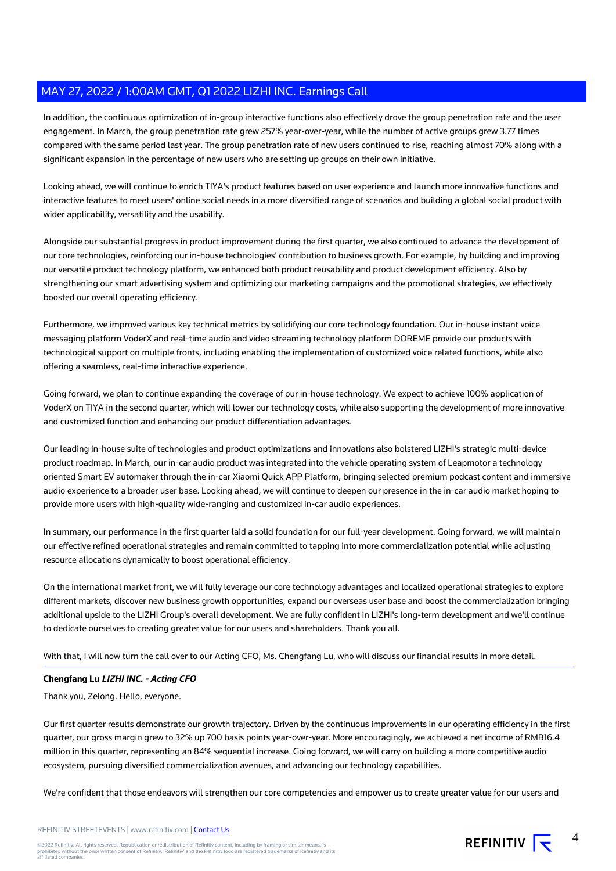In addition, the continuous optimization of in-group interactive functions also effectively drove the group penetration rate and the user engagement. In March, the group penetration rate grew 257% year-over-year, while the number of active groups grew 3.77 times compared with the same period last year. The group penetration rate of new users continued to rise, reaching almost 70% along with a significant expansion in the percentage of new users who are setting up groups on their own initiative.

Looking ahead, we will continue to enrich TIYA's product features based on user experience and launch more innovative functions and interactive features to meet users' online social needs in a more diversified range of scenarios and building a global social product with wider applicability, versatility and the usability.

Alongside our substantial progress in product improvement during the first quarter, we also continued to advance the development of our core technologies, reinforcing our in-house technologies' contribution to business growth. For example, by building and improving our versatile product technology platform, we enhanced both product reusability and product development efficiency. Also by strengthening our smart advertising system and optimizing our marketing campaigns and the promotional strategies, we effectively boosted our overall operating efficiency.

Furthermore, we improved various key technical metrics by solidifying our core technology foundation. Our in-house instant voice messaging platform VoderX and real-time audio and video streaming technology platform DOREME provide our products with technological support on multiple fronts, including enabling the implementation of customized voice related functions, while also offering a seamless, real-time interactive experience.

Going forward, we plan to continue expanding the coverage of our in-house technology. We expect to achieve 100% application of VoderX on TIYA in the second quarter, which will lower our technology costs, while also supporting the development of more innovative and customized function and enhancing our product differentiation advantages.

Our leading in-house suite of technologies and product optimizations and innovations also bolstered LIZHI's strategic multi-device product roadmap. In March, our in-car audio product was integrated into the vehicle operating system of Leapmotor a technology oriented Smart EV automaker through the in-car Xiaomi Quick APP Platform, bringing selected premium podcast content and immersive audio experience to a broader user base. Looking ahead, we will continue to deepen our presence in the in-car audio market hoping to provide more users with high-quality wide-ranging and customized in-car audio experiences.

In summary, our performance in the first quarter laid a solid foundation for our full-year development. Going forward, we will maintain our effective refined operational strategies and remain committed to tapping into more commercialization potential while adjusting resource allocations dynamically to boost operational efficiency.

On the international market front, we will fully leverage our core technology advantages and localized operational strategies to explore different markets, discover new business growth opportunities, expand our overseas user base and boost the commercialization bringing additional upside to the LIZHI Group's overall development. We are fully confident in LIZHI's long-term development and we'll continue to dedicate ourselves to creating greater value for our users and shareholders. Thank you all.

With that, I will now turn the call over to our Acting CFO, Ms. Chengfang Lu, who will discuss our financial results in more detail.

### **Chengfang Lu LIZHI INC. - Acting CFO**

Thank you, Zelong. Hello, everyone.

Our first quarter results demonstrate our growth trajectory. Driven by the continuous improvements in our operating efficiency in the first quarter, our gross margin grew to 32% up 700 basis points year-over-year. More encouragingly, we achieved a net income of RMB16.4 million in this quarter, representing an 84% sequential increase. Going forward, we will carry on building a more competitive audio ecosystem, pursuing diversified commercialization avenues, and advancing our technology capabilities.

We're confident that those endeavors will strengthen our core competencies and empower us to create greater value for our users and

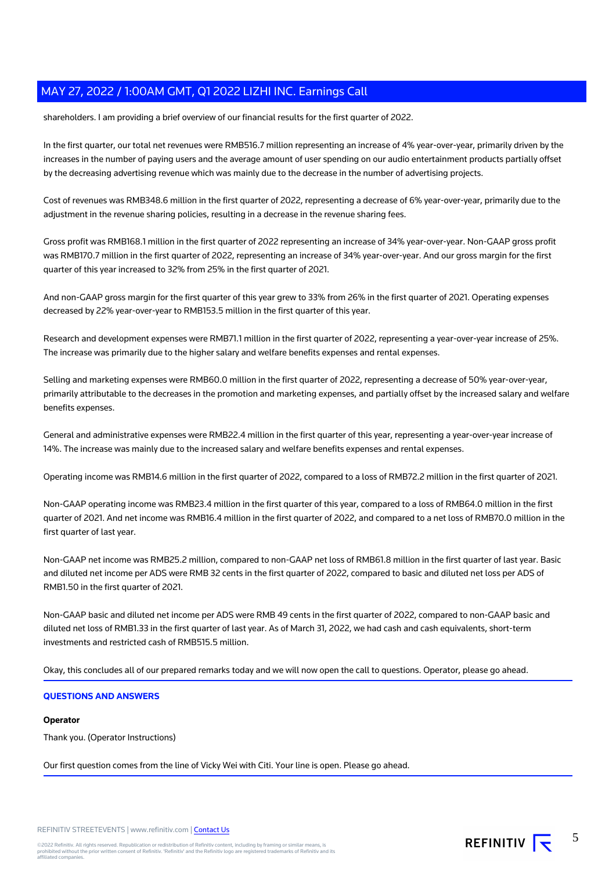shareholders. I am providing a brief overview of our financial results for the first quarter of 2022.

In the first quarter, our total net revenues were RMB516.7 million representing an increase of 4% year-over-year, primarily driven by the increases in the number of paying users and the average amount of user spending on our audio entertainment products partially offset by the decreasing advertising revenue which was mainly due to the decrease in the number of advertising projects.

Cost of revenues was RMB348.6 million in the first quarter of 2022, representing a decrease of 6% year-over-year, primarily due to the adjustment in the revenue sharing policies, resulting in a decrease in the revenue sharing fees.

Gross profit was RMB168.1 million in the first quarter of 2022 representing an increase of 34% year-over-year. Non-GAAP gross profit was RMB170.7 million in the first quarter of 2022, representing an increase of 34% year-over-year. And our gross margin for the first quarter of this year increased to 32% from 25% in the first quarter of 2021.

And non-GAAP gross margin for the first quarter of this year grew to 33% from 26% in the first quarter of 2021. Operating expenses decreased by 22% year-over-year to RMB153.5 million in the first quarter of this year.

Research and development expenses were RMB71.1 million in the first quarter of 2022, representing a year-over-year increase of 25%. The increase was primarily due to the higher salary and welfare benefits expenses and rental expenses.

Selling and marketing expenses were RMB60.0 million in the first quarter of 2022, representing a decrease of 50% year-over-year, primarily attributable to the decreases in the promotion and marketing expenses, and partially offset by the increased salary and welfare benefits expenses.

General and administrative expenses were RMB22.4 million in the first quarter of this year, representing a year-over-year increase of 14%. The increase was mainly due to the increased salary and welfare benefits expenses and rental expenses.

Operating income was RMB14.6 million in the first quarter of 2022, compared to a loss of RMB72.2 million in the first quarter of 2021.

Non-GAAP operating income was RMB23.4 million in the first quarter of this year, compared to a loss of RMB64.0 million in the first quarter of 2021. And net income was RMB16.4 million in the first quarter of 2022, and compared to a net loss of RMB70.0 million in the first quarter of last year.

Non-GAAP net income was RMB25.2 million, compared to non-GAAP net loss of RMB61.8 million in the first quarter of last year. Basic and diluted net income per ADS were RMB 32 cents in the first quarter of 2022, compared to basic and diluted net loss per ADS of RMB1.50 in the first quarter of 2021.

Non-GAAP basic and diluted net income per ADS were RMB 49 cents in the first quarter of 2022, compared to non-GAAP basic and diluted net loss of RMB1.33 in the first quarter of last year. As of March 31, 2022, we had cash and cash equivalents, short-term investments and restricted cash of RMB515.5 million.

Okay, this concludes all of our prepared remarks today and we will now open the call to questions. Operator, please go ahead.

### **QUESTIONS AND ANSWERS**

### **Operator**

Thank you. (Operator Instructions)

Our first question comes from the line of Vicky Wei with Citi. Your line is open. Please go ahead.

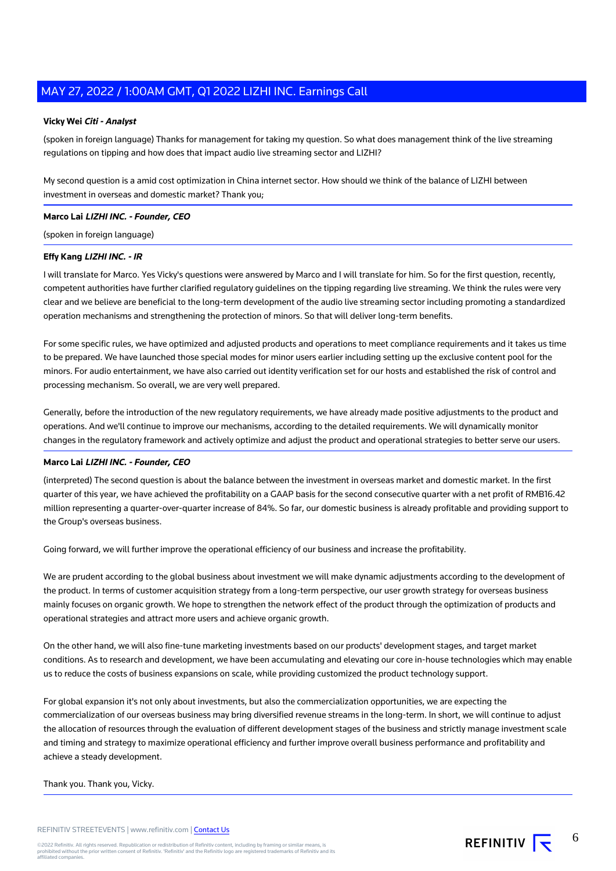#### **Vicky Wei Citi - Analyst**

(spoken in foreign language) Thanks for management for taking my question. So what does management think of the live streaming regulations on tipping and how does that impact audio live streaming sector and LIZHI?

My second question is a amid cost optimization in China internet sector. How should we think of the balance of LIZHI between investment in overseas and domestic market? Thank you;

### **Marco Lai LIZHI INC. - Founder, CEO**

(spoken in foreign language)

### **Effy Kang LIZHI INC. - IR**

I will translate for Marco. Yes Vicky's questions were answered by Marco and I will translate for him. So for the first question, recently, competent authorities have further clarified regulatory guidelines on the tipping regarding live streaming. We think the rules were very clear and we believe are beneficial to the long-term development of the audio live streaming sector including promoting a standardized operation mechanisms and strengthening the protection of minors. So that will deliver long-term benefits.

For some specific rules, we have optimized and adjusted products and operations to meet compliance requirements and it takes us time to be prepared. We have launched those special modes for minor users earlier including setting up the exclusive content pool for the minors. For audio entertainment, we have also carried out identity verification set for our hosts and established the risk of control and processing mechanism. So overall, we are very well prepared.

Generally, before the introduction of the new regulatory requirements, we have already made positive adjustments to the product and operations. And we'll continue to improve our mechanisms, according to the detailed requirements. We will dynamically monitor changes in the regulatory framework and actively optimize and adjust the product and operational strategies to better serve our users.

### **Marco Lai LIZHI INC. - Founder, CEO**

(interpreted) The second question is about the balance between the investment in overseas market and domestic market. In the first quarter of this year, we have achieved the profitability on a GAAP basis for the second consecutive quarter with a net profit of RMB16.42 million representing a quarter-over-quarter increase of 84%. So far, our domestic business is already profitable and providing support to the Group's overseas business.

Going forward, we will further improve the operational efficiency of our business and increase the profitability.

We are prudent according to the global business about investment we will make dynamic adjustments according to the development of the product. In terms of customer acquisition strategy from a long-term perspective, our user growth strategy for overseas business mainly focuses on organic growth. We hope to strengthen the network effect of the product through the optimization of products and operational strategies and attract more users and achieve organic growth.

On the other hand, we will also fine-tune marketing investments based on our products' development stages, and target market conditions. As to research and development, we have been accumulating and elevating our core in-house technologies which may enable us to reduce the costs of business expansions on scale, while providing customized the product technology support.

For global expansion it's not only about investments, but also the commercialization opportunities, we are expecting the commercialization of our overseas business may bring diversified revenue streams in the long-term. In short, we will continue to adjust the allocation of resources through the evaluation of different development stages of the business and strictly manage investment scale and timing and strategy to maximize operational efficiency and further improve overall business performance and profitability and achieve a steady development.

#### Thank you. Thank you, Vicky.

REFINITIV  $\overline{\mathbf{y}}$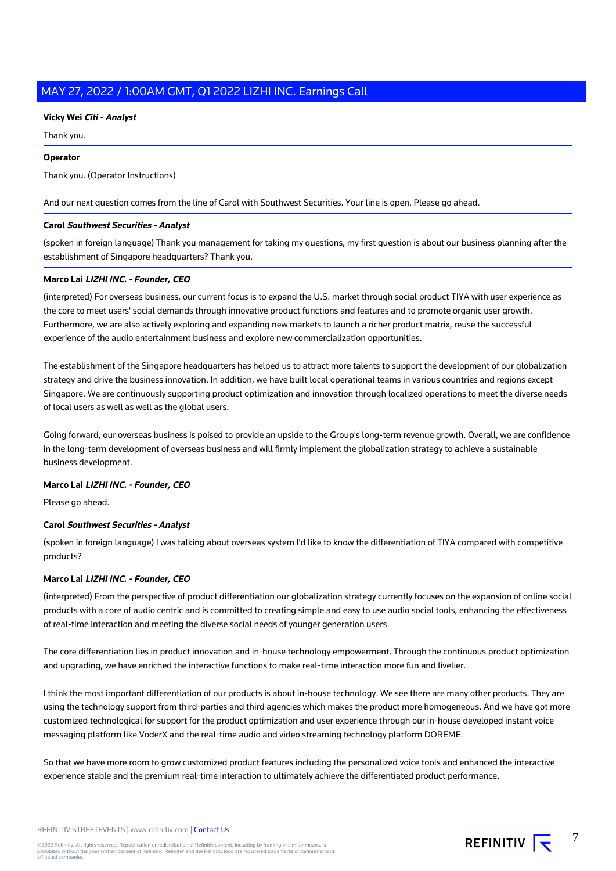### **Vicky Wei Citi - Analyst**

Thank you.

### **Operator**

Thank you. (Operator Instructions)

And our next question comes from the line of Carol with Southwest Securities. Your line is open. Please go ahead.

### **Carol Southwest Securities - Analyst**

(spoken in foreign language) Thank you management for taking my questions, my first question is about our business planning after the establishment of Singapore headquarters? Thank you.

### **Marco Lai LIZHI INC. - Founder, CEO**

(interpreted) For overseas business, our current focus is to expand the U.S. market through social product TIYA with user experience as the core to meet users' social demands through innovative product functions and features and to promote organic user growth. Furthermore, we are also actively exploring and expanding new markets to launch a richer product matrix, reuse the successful experience of the audio entertainment business and explore new commercialization opportunities.

The establishment of the Singapore headquarters has helped us to attract more talents to support the development of our globalization strategy and drive the business innovation. In addition, we have built local operational teams in various countries and regions except Singapore. We are continuously supporting product optimization and innovation through localized operations to meet the diverse needs of local users as well as well as the global users.

Going forward, our overseas business is poised to provide an upside to the Group's long-term revenue growth. Overall, we are confidence in the long-term development of overseas business and will firmly implement the globalization strategy to achieve a sustainable business development.

#### **Marco Lai LIZHI INC. - Founder, CEO**

Please go ahead.

### **Carol Southwest Securities - Analyst**

(spoken in foreign language) I was talking about overseas system I'd like to know the differentiation of TIYA compared with competitive products?

### **Marco Lai LIZHI INC. - Founder, CEO**

(interpreted) From the perspective of product differentiation our globalization strategy currently focuses on the expansion of online social products with a core of audio centric and is committed to creating simple and easy to use audio social tools, enhancing the effectiveness of real-time interaction and meeting the diverse social needs of younger generation users.

The core differentiation lies in product innovation and in-house technology empowerment. Through the continuous product optimization and upgrading, we have enriched the interactive functions to make real-time interaction more fun and livelier.

I think the most important differentiation of our products is about in-house technology. We see there are many other products. They are using the technology support from third-parties and third agencies which makes the product more homogeneous. And we have got more customized technological for support for the product optimization and user experience through our in-house developed instant voice messaging platform like VoderX and the real-time audio and video streaming technology platform DOREME.

So that we have more room to grow customized product features including the personalized voice tools and enhanced the interactive experience stable and the premium real-time interaction to ultimately achieve the differentiated product performance.

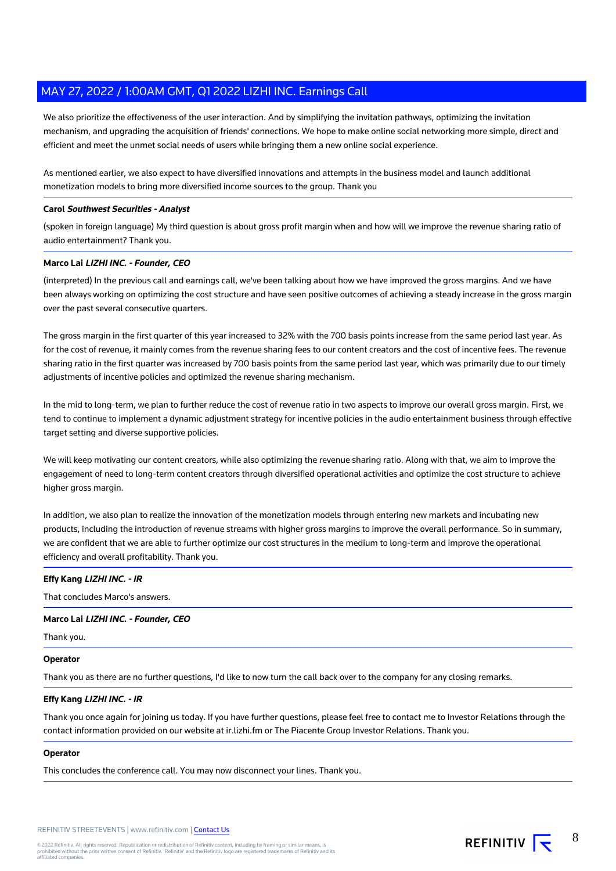We also prioritize the effectiveness of the user interaction. And by simplifying the invitation pathways, optimizing the invitation mechanism, and upgrading the acquisition of friends' connections. We hope to make online social networking more simple, direct and efficient and meet the unmet social needs of users while bringing them a new online social experience.

As mentioned earlier, we also expect to have diversified innovations and attempts in the business model and launch additional monetization models to bring more diversified income sources to the group. Thank you

### **Carol Southwest Securities - Analyst**

(spoken in foreign language) My third question is about gross profit margin when and how will we improve the revenue sharing ratio of audio entertainment? Thank you.

### **Marco Lai LIZHI INC. - Founder, CEO**

(interpreted) In the previous call and earnings call, we've been talking about how we have improved the gross margins. And we have been always working on optimizing the cost structure and have seen positive outcomes of achieving a steady increase in the gross margin over the past several consecutive quarters.

The gross margin in the first quarter of this year increased to 32% with the 700 basis points increase from the same period last year. As for the cost of revenue, it mainly comes from the revenue sharing fees to our content creators and the cost of incentive fees. The revenue sharing ratio in the first quarter was increased by 700 basis points from the same period last year, which was primarily due to our timely adjustments of incentive policies and optimized the revenue sharing mechanism.

In the mid to long-term, we plan to further reduce the cost of revenue ratio in two aspects to improve our overall gross margin. First, we tend to continue to implement a dynamic adjustment strategy for incentive policies in the audio entertainment business through effective target setting and diverse supportive policies.

We will keep motivating our content creators, while also optimizing the revenue sharing ratio. Along with that, we aim to improve the engagement of need to long-term content creators through diversified operational activities and optimize the cost structure to achieve higher gross margin.

In addition, we also plan to realize the innovation of the monetization models through entering new markets and incubating new products, including the introduction of revenue streams with higher gross margins to improve the overall performance. So in summary, we are confident that we are able to further optimize our cost structures in the medium to long-term and improve the operational efficiency and overall profitability. Thank you.

### **Effy Kang LIZHI INC. - IR**

That concludes Marco's answers.

### **Marco Lai LIZHI INC. - Founder, CEO**

Thank you.

#### **Operator**

Thank you as there are no further questions, I'd like to now turn the call back over to the company for any closing remarks.

### **Effy Kang LIZHI INC. - IR**

Thank you once again for joining us today. If you have further questions, please feel free to contact me to Investor Relations through the contact information provided on our website at ir.lizhi.fm or The Piacente Group Investor Relations. Thank you.

### **Operator**

This concludes the conference call. You may now disconnect your lines. Thank you.